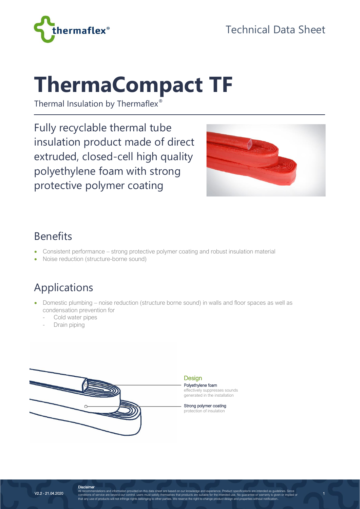

# **ThermaCompact TF**

Thermal Insulation by Thermaflex®

Fully recyclable thermal tube insulation product made of direct extruded, closed-cell high quality polyethylene foam with strong protective polymer coating



1

#### Benefits

- Consistent performance strong protective polymer coating and robust insulation material
- Noise reduction (structure-borne sound)

## Applications

- Domestic plumbing noise reduction (structure borne sound) in walls and floor spaces as well as condensation prevention for
	- Cold water pipes
	- Drain piping



Polyethylene foam effectively suppresses sounds generated in the installation

Strong polymer coating protection of insulation

**Disclaimer**